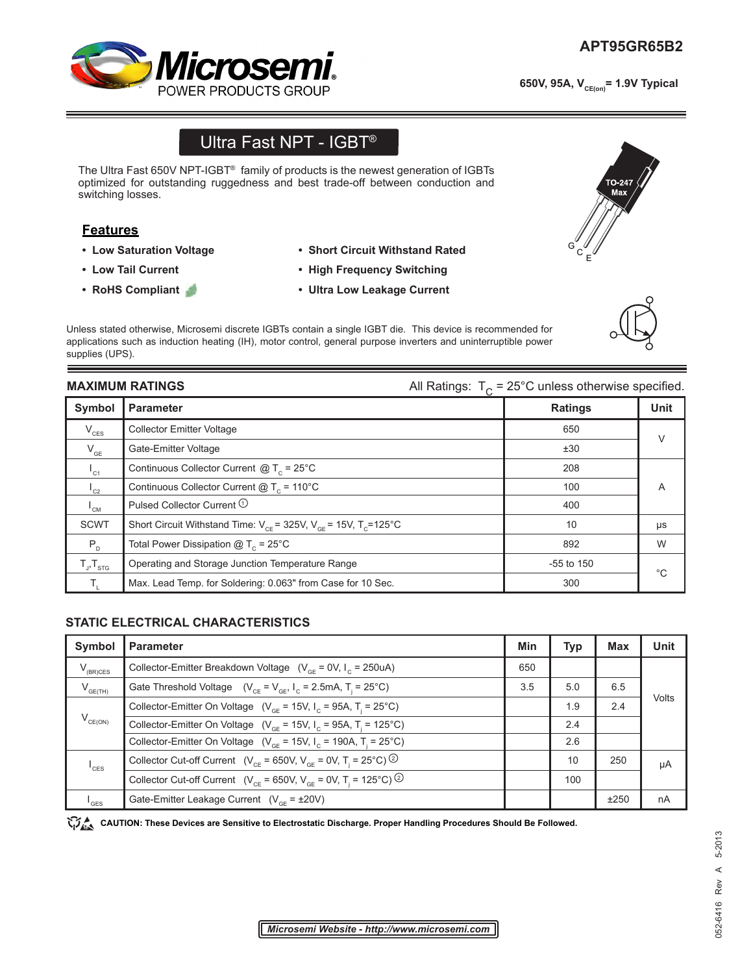

650V, 95A, V<sub>CE(on)</sub>= 1.9V Typical

# Ultra Fast NPT - IGBT®

The Ultra Fast 650V NPT-IGBT® family of products is the newest generation of IGBTs optimized for outstanding ruggedness and best trade-off between conduction and switching losses.

## **Features**

- **Low Saturation Voltage**
- **Low Tail Current**
- **RoHS Compliant**
- **Short Circuit Withstand Rated**
- **High Frequency Switching**
- **Ultra Low Leakage Current**

Unless stated otherwise, Microsemi discrete IGBTs contain a single IGBT die. This device is recommended for applications such as induction heating (IH), motor control, general purpose inverters and uninterruptible power supplies (UPS).

**MAXIMUM RATINGS All Ratings:**  $T_c = 25^\circ \text{C}$  unless otherwise specified.

| Symbol                     | <b>Parameter</b>                                                              | <b>Ratings</b> | <b>Unit</b>  |
|----------------------------|-------------------------------------------------------------------------------|----------------|--------------|
| $V_{\text{CES}}$           | <b>Collector Emitter Voltage</b>                                              | 650            | $\vee$       |
| $\mathsf{V}_{\mathsf{GE}}$ | Gate-Emitter Voltage                                                          | ±30            |              |
| $I_{c1}$                   | Continuous Collector Current $@T_c = 25^{\circ}C$                             | 208            |              |
| $I_{C2}$                   | Continuous Collector Current $@T_c = 110°C$                                   | 100            | A            |
| $I_{CM}$                   | Pulsed Collector Current <sup>1</sup>                                         | 400            |              |
| <b>SCWT</b>                | Short Circuit Withstand Time: $V_{CF}$ = 325V, $V_{GF}$ = 15V, $T_{C}$ =125°C | 10             | μs           |
| $P_{D}$                    | Total Power Dissipation $@T_c = 25^{\circ}C$                                  | 892            | W            |
| $T_{J}$ , $T_{\text{src}}$ | Operating and Storage Junction Temperature Range                              | $-55$ to 150   | $^{\circ}$ C |
| Τ.                         | Max. Lead Temp. for Soldering: 0.063" from Case for 10 Sec.                   | 300            |              |

### **STATIC ELECTRICAL CHARACTERISTICS**

| Symbol              | <b>Parameter</b>                                                                                    | Min | <b>Typ</b> | <b>Max</b> | <b>Unit</b> |
|---------------------|-----------------------------------------------------------------------------------------------------|-----|------------|------------|-------------|
| $V_{(BR)CES}$       | Collector-Emitter Breakdown Voltage ( $V_{\text{ce}} = 0V$ , I <sub>c</sub> = 250uA)                | 650 |            |            |             |
| $V_{GE(TH)}$        | Gate Threshold Voltage $(V_{CF} = V_{GF}   I_{C} = 2.5mA, T = 25°C)$                                | 3.5 | 5.0        | 6.5        | Volts       |
| $V_{CE(ON)}$        | Collector-Emitter On Voltage ( $V_{GF}$ = 15V, I <sub>c</sub> = 95A, T <sub>i</sub> = 25°C)         |     | 1.9        | 2.4        |             |
|                     | Collector-Emitter On Voltage ( $V_{\text{CF}}$ = 15V, I <sub>c</sub> = 95A, T <sub>i</sub> = 125°C) |     | 2.4        |            |             |
|                     | Collector-Emitter On Voltage ( $V_{\text{CF}}$ = 15V, $I_{\text{C}}$ = 190A, T <sub>i</sub> = 25°C) |     | 2.6        |            |             |
| $^{\mathsf{I}}$ CES | Collector Cut-off Current ( $V_{CF}$ = 650V, $V_{GF}$ = 0V, T <sub>i</sub> = 25°C) <sup>②</sup>     |     | 10         | 250        | μA          |
|                     | Collector Cut-off Current ( $V_{CF}$ = 650V, $V_{CF}$ = 0V, T <sub>i</sub> = 125°C) <sup>②</sup>    |     | 100        |            |             |
| I <sub>GES</sub>    | Gate-Emitter Leakage Current $(V_{CF} = \pm 20V)$                                                   |     |            | ±250       | nA          |

CAUTION: These Devices are Sensitive to Electrostatic Discharge. Proper Handling Procedures Should Be Followed.





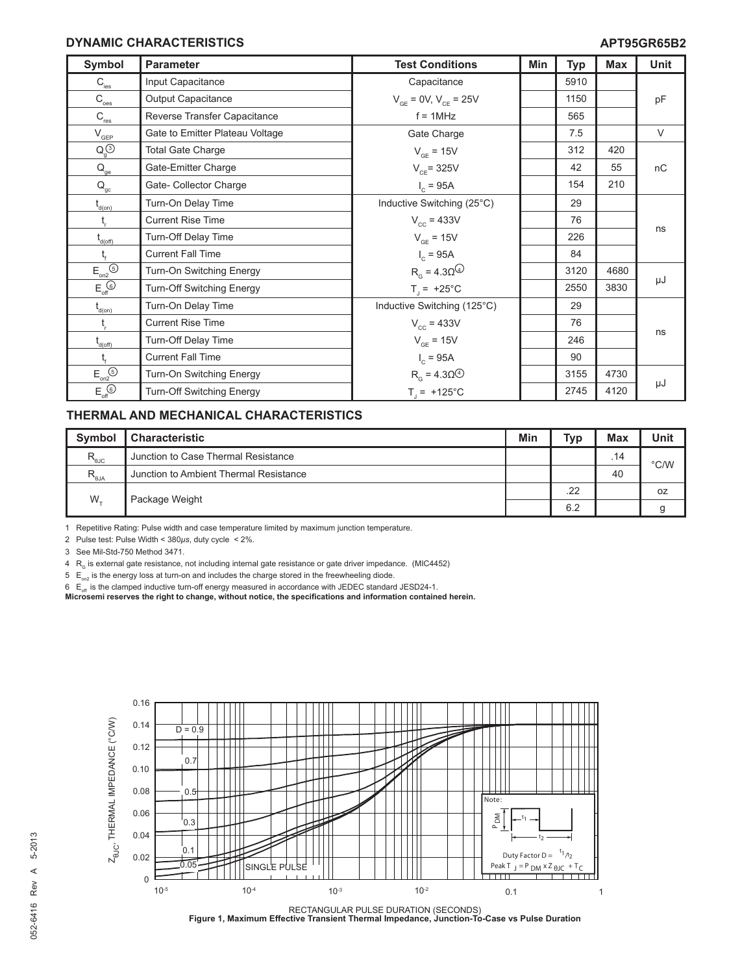#### **DYNAMIC CHARACTERISTICS**

| Symbol                                                           | <b>Parameter</b>                 | <b>Test Conditions</b>           | Min | <b>Typ</b> | <b>Max</b> | <b>Unit</b> |
|------------------------------------------------------------------|----------------------------------|----------------------------------|-----|------------|------------|-------------|
| $\mathsf{C}_{\text{\tiny \textsf{ies}}}$                         | Input Capacitance                | Capacitance                      |     | 5910       |            |             |
| $\text{C}_{\underline{\text{oes}}}$                              | Output Capacitance               | $V_{CF} = 0V, V_{CF} = 25V$      |     | 1150       |            | pF          |
| $C_{res}$                                                        | Reverse Transfer Capacitance     | $f = 1MHz$                       |     | 565        |            |             |
| $\mathsf{V}_{\text{\tiny GEP}}$                                  | Gate to Emitter Plateau Voltage  | Gate Charge                      |     | 7.5        |            | $\vee$      |
| $Q_q^{(3)}$                                                      | <b>Total Gate Charge</b>         | $V_{GF} = 15V$                   |     | 312        | 420        |             |
| $\mathsf{Q}_{\underline{\mathsf{ge}}}$                           | Gate-Emitter Charge              | $V_{CF}$ = 325V                  |     | 42         | 55         | nC          |
| $\mathsf{Q}_\mathrm{gc}$                                         | Gate- Collector Charge           | $I_c = 95A$                      |     | 154        | 210        |             |
| $t_{\text{\tiny d(0n)}}$                                         | Turn-On Delay Time               | Inductive Switching (25°C)       |     | 29         |            |             |
| $t_{\rm r}$                                                      | <b>Current Rise Time</b>         | $V_{cc} = 433V$                  |     | 76         |            |             |
| $t_{d(off)}$                                                     | Turn-Off Delay Time              | $V_{GF} = 15V$                   |     | 226        |            | ns          |
| $t_{\rm f}$                                                      | <b>Current Fall Time</b>         | $I_c = 95A$                      |     | 84         |            |             |
| $E_{on2}$ <sup><math>\odot</math></sup>                          | Turn-On Switching Energy         | $Rg = 4.30Q$                     |     | 3120       | 4680       |             |
| $E_{\text{off}}$                                                 | Turn-Off Switching Energy        | $T_i = +25^{\circ}C$             |     | 2550       | 3830       | μJ          |
| $t_{\text{\tiny d(0n)}}$                                         | Turn-On Delay Time               | Inductive Switching (125°C)      |     | 29         |            |             |
| $t_{\rm r}$                                                      | <b>Current Rise Time</b>         | $V_{cc} = 433V$                  |     | 76         |            |             |
| t <sub>d(off)</sub>                                              | Turn-Off Delay Time              | $V_{GF} = 15V$                   |     | 246        |            | ns          |
| $t_{\rm f}$                                                      | <b>Current Fall Time</b>         | $I_c = 95A$                      |     | 90         |            |             |
| $E_{on2}$ <sup><math>\odot</math></sup>                          | Turn-On Switching Energy         | $R_{\alpha}$ = 4.30 <sup>4</sup> |     | 3155       | 4730       |             |
| $E_{\text{off}}^{\textcircled{\tiny{\textcircled{\tiny \dag}}}}$ | <b>Turn-Off Switching Energy</b> | $T_1 = +125^{\circ}C$            |     | 2745       | 4120       | μJ          |

### **THERMAL AND MECHANICAL CHARACTERISTICS**

| <b>Symbol</b>                         | <b>Characteristic</b>                  | Min | <b>Typ</b> | <b>Max</b> | <b>Unit</b> |
|---------------------------------------|----------------------------------------|-----|------------|------------|-------------|
| $R_{\text{\tiny \textsf{BJC}}}$       | Junction to Case Thermal Resistance    |     |            | .14        | °C/W        |
| $R_{\rm \scriptscriptstyle \thetaJA}$ | Junction to Ambient Thermal Resistance |     |            | 40         |             |
| $W_{+}$                               | Package Weight                         |     | .22        |            | 0Z          |
|                                       |                                        |     | 6.2        |            | У           |

1 Repetitive Rating: Pulse width and case temperature limited by maximum junction temperature.

2 Pulse test: Pulse Width < 380*µs*, duty cycle < 2%.

3 See Mil-Std-750 Method 3471.

 $4$  R<sub>G</sub> is external gate resistance, not including internal gate resistance or gate driver impedance. (MIC4452)

 $5 E_{on2}$  is the energy loss at turn-on and includes the charge stored in the freewheeling diode.

 $6$  E<sub>off</sub> is the clamped inductive turn-off energy measured in accordance with JEDEC standard JESD24-1.

**Microsemi reserves the right to change, without notice, the specifications and information contained herein.**



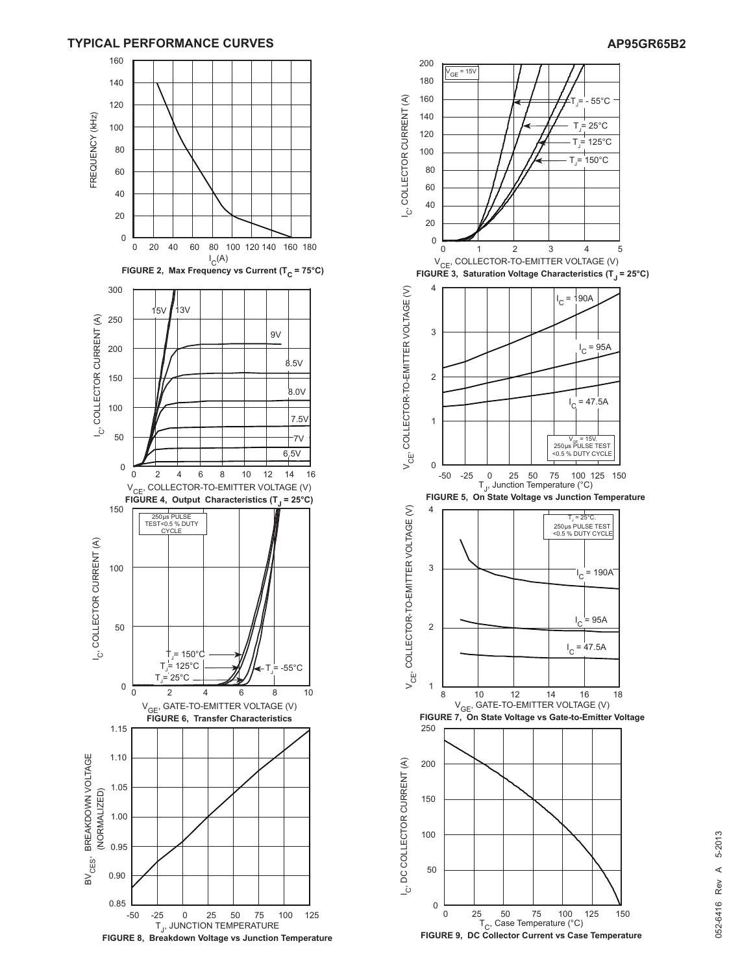#### **TYPICAL PERFORMANCE CURVES AP95GR65B2**



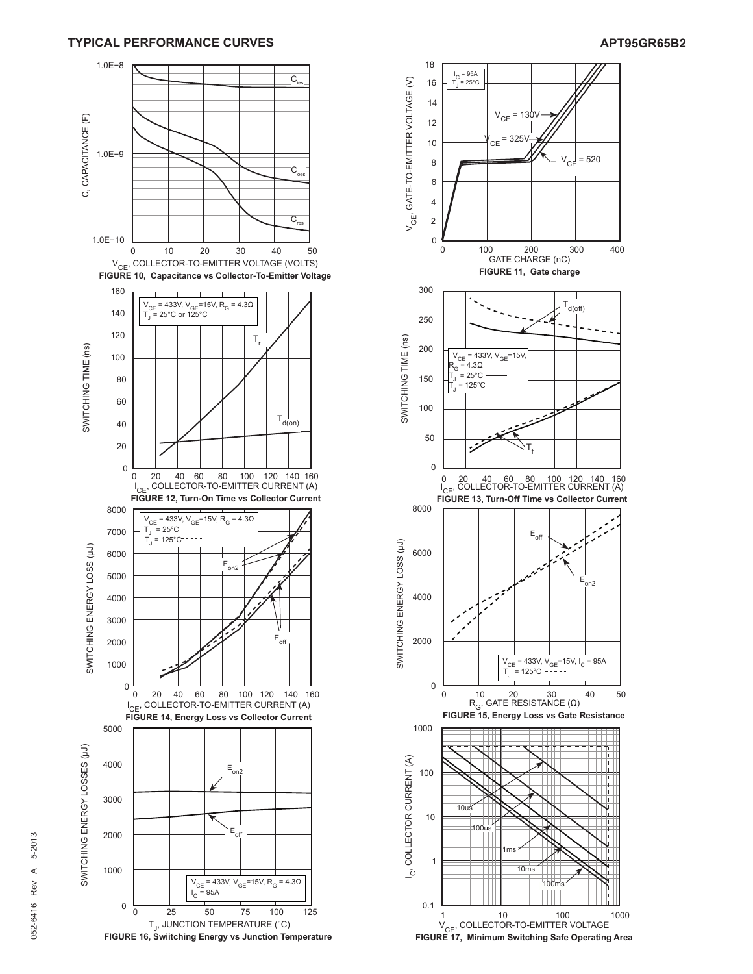

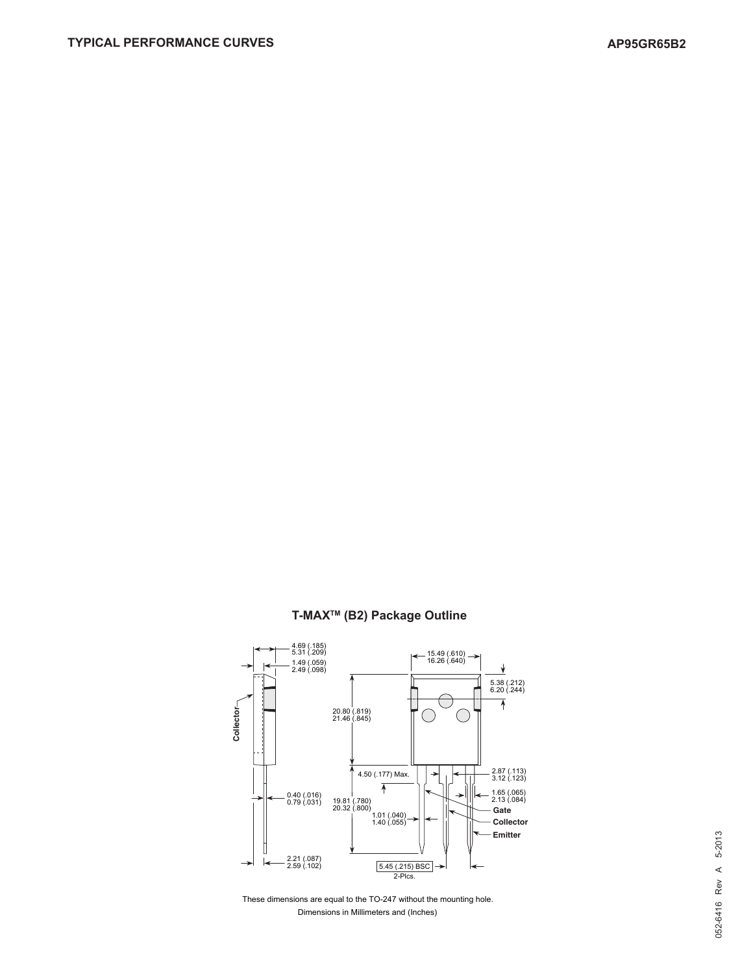



### **T-MAXTM (B2) Package Outline**